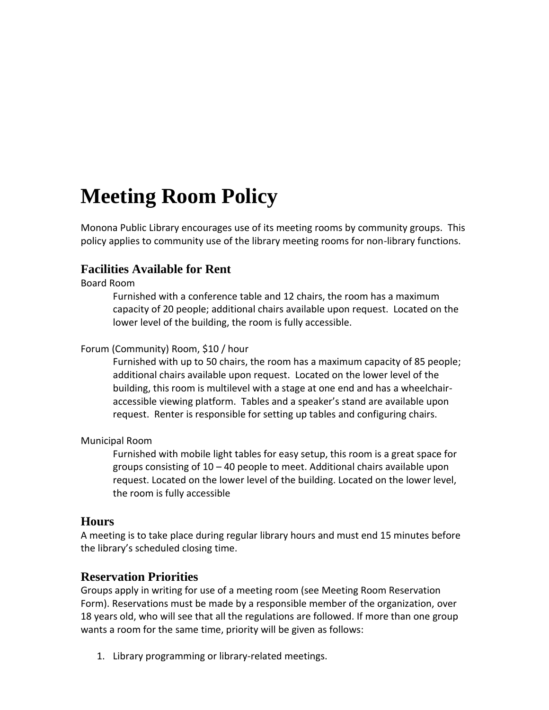# **Meeting Room Policy**

Monona Public Library encourages use of its meeting rooms by community groups. This policy applies to community use of the library meeting rooms for non-library functions.

## **Facilities Available for Rent**

Board Room

Furnished with a conference table and 12 chairs, the room has a maximum capacity of 20 people; additional chairs available upon request. Located on the lower level of the building, the room is fully accessible.

#### Forum (Community) Room, \$10 / hour

Furnished with up to 50 chairs, the room has a maximum capacity of 85 people; additional chairs available upon request. Located on the lower level of the building, this room is multilevel with a stage at one end and has a wheelchairaccessible viewing platform. Tables and a speaker's stand are available upon request. Renter is responsible for setting up tables and configuring chairs.

#### Municipal Room

Furnished with mobile light tables for easy setup, this room is a great space for groups consisting of 10 – 40 people to meet. Additional chairs available upon request. Located on the lower level of the building. Located on the lower level, the room is fully accessible

#### **Hours**

A meeting is to take place during regular library hours and must end 15 minutes before the library's scheduled closing time.

#### **Reservation Priorities**

Groups apply in writing for use of a meeting room (see Meeting Room Reservation Form). Reservations must be made by a responsible member of the organization, over 18 years old, who will see that all the regulations are followed. If more than one group wants a room for the same time, priority will be given as follows:

1. Library programming or library-related meetings.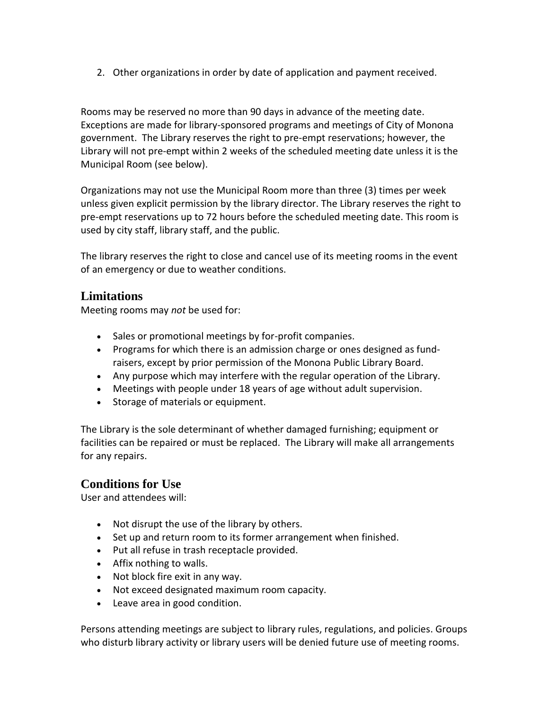2. Other organizations in order by date of application and payment received.

Rooms may be reserved no more than 90 days in advance of the meeting date. Exceptions are made for library-sponsored programs and meetings of City of Monona government. The Library reserves the right to pre-empt reservations; however, the Library will not pre-empt within 2 weeks of the scheduled meeting date unless it is the Municipal Room (see below).

Organizations may not use the Municipal Room more than three (3) times per week unless given explicit permission by the library director. The Library reserves the right to pre-empt reservations up to 72 hours before the scheduled meeting date. This room is used by city staff, library staff, and the public.

The library reserves the right to close and cancel use of its meeting rooms in the event of an emergency or due to weather conditions.

### **Limitations**

Meeting rooms may *not* be used for:

- Sales or promotional meetings by for-profit companies.
- Programs for which there is an admission charge or ones designed as fundraisers, except by prior permission of the Monona Public Library Board.
- Any purpose which may interfere with the regular operation of the Library.
- Meetings with people under 18 years of age without adult supervision.
- Storage of materials or equipment.

The Library is the sole determinant of whether damaged furnishing; equipment or facilities can be repaired or must be replaced. The Library will make all arrangements for any repairs.

## **Conditions for Use**

User and attendees will:

- Not disrupt the use of the library by others.
- Set up and return room to its former arrangement when finished.
- Put all refuse in trash receptacle provided.
- Affix nothing to walls.
- Not block fire exit in any way.
- Not exceed designated maximum room capacity.
- Leave area in good condition.

Persons attending meetings are subject to library rules, regulations, and policies. Groups who disturb library activity or library users will be denied future use of meeting rooms.